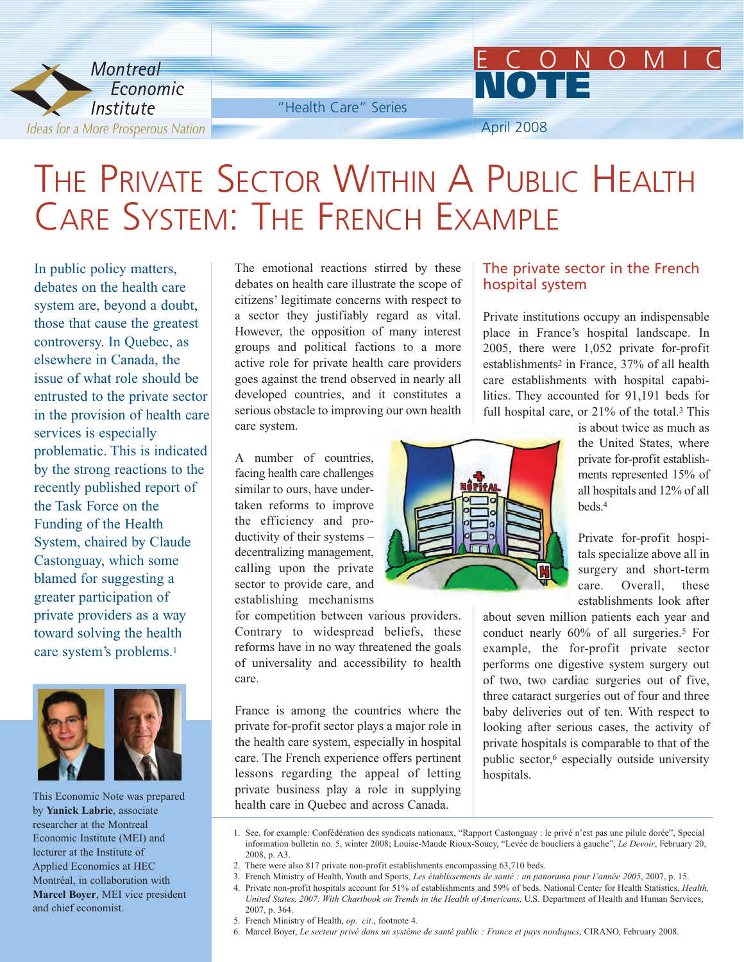

"Health Care" Series

April 2008

**NOTE**

# THE PRIVATE SECTOR WITHIN A PUBLIC HEALTH CARE SYSTEM: THE FRENCH EXAMPLE

In public policy matters, debates on the health care system are, beyond a doubt, those that cause the greatest controversy. In Quebec, as elsewhere in Canada, the issue of what role should be entrusted to the private sector in the provision of health care services is especially problematic. This is indicated by the strong reactions to the recently published report of the Task Force on the Funding of the Health System, chaired by Claude Castonguay, which some blamed for suggesting a greater participation of private providers as a way toward solving the health care system's problems.1



This Economic Note was prepared by **Yanick Labrie**, associate researcher at the Montreal Economic Institute (MEI) and lecturer at the Institute of Applied Economics at HEC Montréal, in collaboration with **Marcel Boyer**, MEI vice president and chief economist.

The emotional reactions stirred by these debates on health care illustrate the scope of citizens' legitimate concerns with respect to a sector they justifiably regard as vital. However, the opposition of many interest groups and political factions to a more active role for private health care providers goes against the trend observed in nearly all developed countries, and it constitutes a serious obstacle to improving our own health care system.

A number of countries, facing health care challenges similar to ours, have undertaken reforms to improve the efficiency and productivity of their systems – decentralizing management, calling upon the private sector to provide care, and establishing mechanisms

for competition between various providers. Contrary to widespread beliefs, these reforms have in no way threatened the goals of universality and accessibility to health care.

France is among the countries where the private for-profit sector plays a major role in the health care system, especially in hospital care. The French experience offers pertinent lessons regarding the appeal of letting private business play a role in supplying health care in Quebec and across Canada.



### The private sector in the French hospital system

ECONOMIC

Private institutions occupy an indispensable place in France's hospital landscape. In 2005, there were 1,052 private for-profit establishments2 in France, 37% of all health care establishments with hospital capabilities. They accounted for 91,191 beds for full hospital care, or 21% of the total.3 This

> is about twice as much as the United States, where private for-profit establishments represented 15% of all hospitals and 12% of all beds.4

> Private for-profit hospitals specialize above all in surgery and short-term care. Overall, these establishments look after

about seven million patients each year and conduct nearly 60% of all surgeries.5 For example, the for-profit private sector performs one digestive system surgery out of two, two cardiac surgeries out of five, three cataract surgeries out of four and three baby deliveries out of ten. With respect to looking after serious cases, the activity of private hospitals is comparable to that of the public sector,6 especially outside university hospitals.

- 1. See, for example: Confédération des syndicats nationaux, "Rapport Castonguay : le privé n'est pas une pilule dorée", Special information bulletin no. 5, winter 2008; Louise-Maude Rioux-Soucy, "Levée de boucliers à gauche", *Le Devoir*, February 20, 2008, p. A3.
- 2. There were also 817 private non-profit establishments encompassing 63,710 beds.
- 3. French Ministry of Health, Youth and Sports, *Les établissements de santé : un panorama pour l'année 2005*, 2007, p. 15.
- 4. Private non-profit hospitals account for 51% of establishments and 59% of beds. National Center for Health Statistics, *Health, United States, 2007: With Chartbook on Trends in the Health of Americans,* U.S. Department of Health and Human Services, 2007, p. 364.
- 5. French Ministry of Health, *op. cit*., footnote 4.
- 6. Marcel Boyer, *Le secteur privé dans un système de santé public : France et pays nordiques*, CIRANO, February 2008.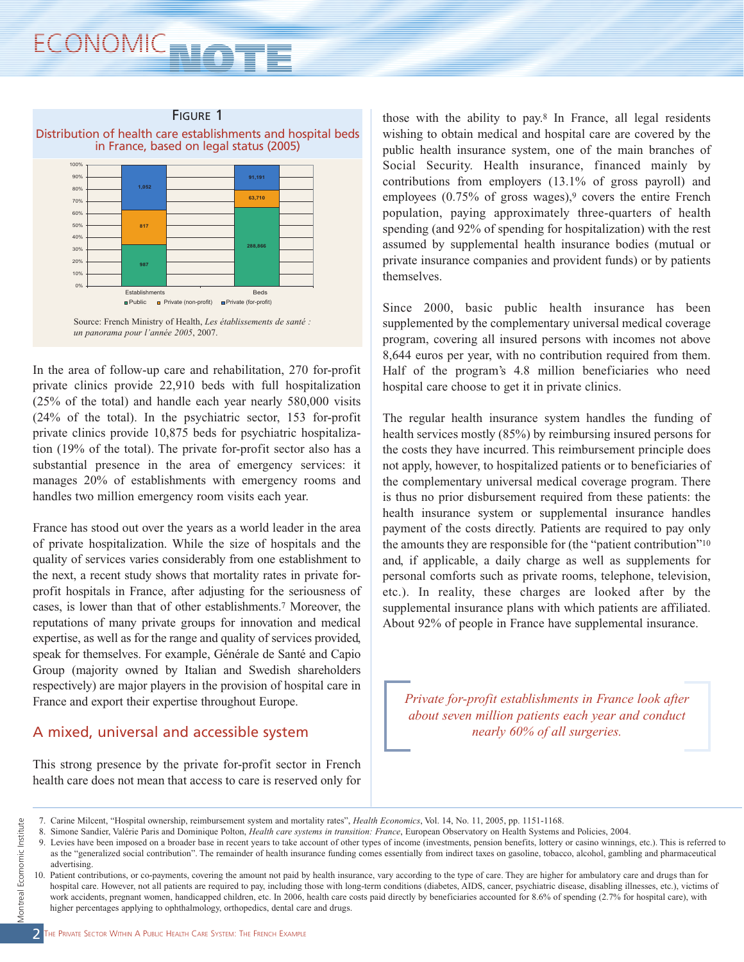#### **987 8,866 817 3,710 1,191 1,052** 0% 10%  $20%$ 30% 40% 50% 60% 70% 80% 90% 100% Establishments **Beds Public Private (non-profit) Private (for-profit)** FIGURE 1 Distribution of health care establishments and hospital beds in France, based on legal status (2005)

Source: French Ministry of Health, *Les établissements de santé : un panorama pour l'année 2005*, 2007.

In the area of follow-up care and rehabilitation, 270 for-profit private clinics provide 22,910 beds with full hospitalization (25% of the total) and handle each year nearly 580,000 visits (24% of the total). In the psychiatric sector, 153 for-profit private clinics provide 10,875 beds for psychiatric hospitalization (19% of the total). The private for-profit sector also has a substantial presence in the area of emergency services: it manages 20% of establishments with emergency rooms and handles two million emergency room visits each year.

France has stood out over the years as a world leader in the area of private hospitalization. While the size of hospitals and the quality of services varies considerably from one establishment to the next, a recent study shows that mortality rates in private forprofit hospitals in France, after adjusting for the seriousness of cases, is lower than that of other establishments.7 Moreover, the reputations of many private groups for innovation and medical expertise, as well as for the range and quality of services provided, speak for themselves. For example, Générale de Santé and Capio Group (majority owned by Italian and Swedish shareholders respectively) are major players in the provision of hospital care in France and export their expertise throughout Europe.

# A mixed, universal and accessible system

This strong presence by the private for-profit sector in French health care does not mean that access to care is reserved only for

those with the ability to pay.8 In France, all legal residents wishing to obtain medical and hospital care are covered by the public health insurance system, one of the main branches of Social Security. Health insurance, financed mainly by contributions from employers (13.1% of gross payroll) and employees  $(0.75\%$  of gross wages),<sup>9</sup> covers the entire French population, paying approximately three-quarters of health spending (and 92% of spending for hospitalization) with the rest assumed by supplemental health insurance bodies (mutual or private insurance companies and provident funds) or by patients themselves.

Since 2000, basic public health insurance has been supplemented by the complementary universal medical coverage program, covering all insured persons with incomes not above 8,644 euros per year, with no contribution required from them. Half of the program's 4.8 million beneficiaries who need hospital care choose to get it in private clinics.

The regular health insurance system handles the funding of health services mostly (85%) by reimbursing insured persons for the costs they have incurred. This reimbursement principle does not apply, however, to hospitalized patients or to beneficiaries of the complementary universal medical coverage program. There is thus no prior disbursement required from these patients: the health insurance system or supplemental insurance handles payment of the costs directly. Patients are required to pay only the amounts they are responsible for (the "patient contribution"10 and, if applicable, a daily charge as well as supplements for personal comforts such as private rooms, telephone, television, etc.). In reality, these charges are looked after by the supplemental insurance plans with which patients are affiliated. About 92% of people in France have supplemental insurance.

*Private for-profit establishments in France look after about seven million patients each year and conduct nearly 60% of all surgeries.*

<sup>7.</sup> Carine Milcent, "Hospital ownership, reimbursement system and mortality rates", *Health Economics*, Vol. 14, No. 11, 2005, pp. 1151-1168.

<sup>8.</sup> Simone Sandier, Valérie Paris and Dominique Polton, *Health care systems in transition: France*, European Observatory on Health Systems and Policies, 2004.

<sup>9.</sup> Levies have been imposed on a broader base in recent years to take account of other types of income (investments, pension benefits, lottery or casino winnings, etc.). This is referred to as the "generalized social contribution". The remainder of health insurance funding comes essentially from indirect taxes on gasoline, tobacco, alcohol, gambling and pharmaceutical advertising.

<sup>10.</sup> Patient contributions, or co-payments, covering the amount not paid by health insurance, vary according to the type of care. They are higher for ambulatory care and drugs than for hospital care. However, not all patients are required to pay, including those with long-term conditions (diabetes, AIDS, cancer, psychiatric disease, disabling illnesses, etc.), victims of work accidents, pregnant women, handicapped children, etc. In 2006, health care costs paid directly by beneficiaries accounted for 8.6% of spending (2.7% for hospital care), with higher percentages applying to ophthalmology, orthopedics, dental care and drugs.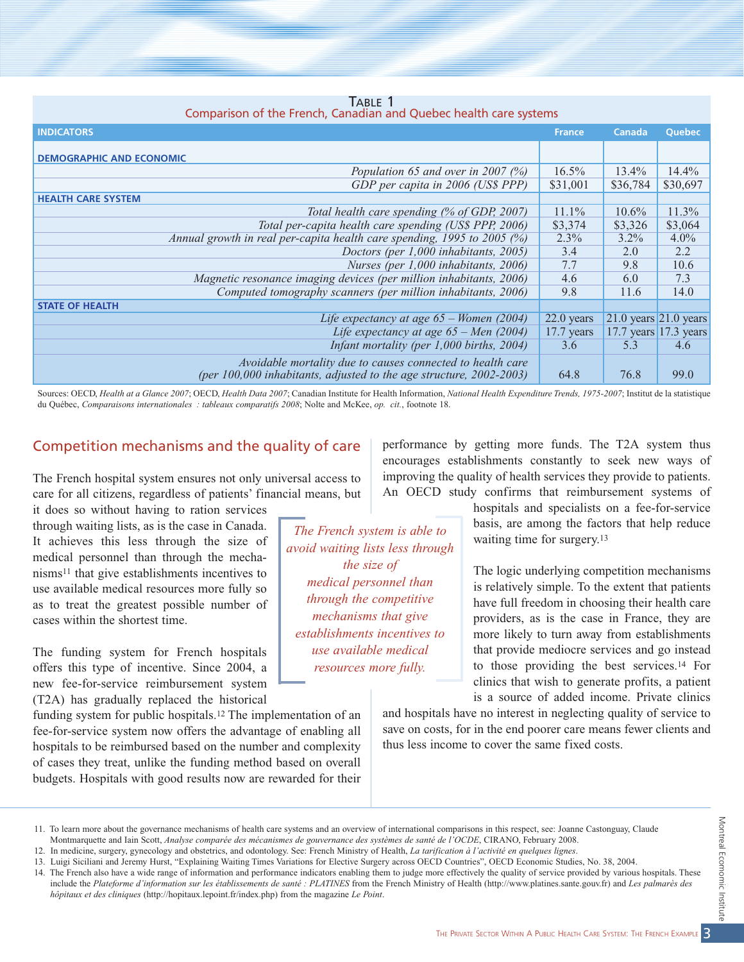| Comparison of the French, Canadian and Quebec health care systems                                                                 |               |          |                           |
|-----------------------------------------------------------------------------------------------------------------------------------|---------------|----------|---------------------------|
| <b>INDICATORS</b>                                                                                                                 | <b>France</b> | Canada   | Quebec                    |
| <b>DEMOGRAPHIC AND ECONOMIC</b>                                                                                                   |               |          |                           |
| Population 65 and over in 2007 $(\%)$                                                                                             | $16.5\%$      | 13.4%    | $14.4\%$                  |
| GDP per capita in 2006 (US\$ PPP)                                                                                                 | \$31,001      | \$36,784 | \$30,697                  |
| <b>HEALTH CARE SYSTEM</b>                                                                                                         |               |          |                           |
| Total health care spending (% of GDP, 2007)                                                                                       | $11.1\%$      | $10.6\%$ | 11.3%                     |
| Total per-capita health care spending (US\$ PPP, 2006)                                                                            | \$3,374       | \$3,326  | \$3,064                   |
| Annual growth in real per-capita health care spending, 1995 to 2005 (%)                                                           | $2.3\%$       | $3.2\%$  | $4.0\%$                   |
| Doctors (per 1,000 inhabitants, 2005)                                                                                             | 3.4           | 2.0      | 2.2                       |
| Nurses (per 1,000 inhabitants, 2006)                                                                                              | 7.7           | 9.8      | 10.6                      |
| Magnetic resonance imaging devices (per million inhabitants, 2006)                                                                | 4.6           | 6.0      | 7.3                       |
| Computed tomography scanners (per million inhabitants, 2006)                                                                      | 9.8           | 11.6     | 14.0                      |
| <b>STATE OF HEALTH</b>                                                                                                            |               |          |                           |
| Life expectancy at age $65 - W$ omen (2004)                                                                                       | $22.0$ years  |          | $21.0$ years $21.0$ years |
| Life expectancy at age $65 -$ Men (2004)                                                                                          | $17.7$ years  |          | 17.7 years $ 17.3$ years  |
| Infant mortality (per 1,000 births, 2004)                                                                                         | 3.6           | 5.3      | 4.6                       |
| Avoidable mortality due to causes connected to health care<br>(per 100,000 inhabitants, adjusted to the age structure, 2002-2003) | 64.8          | 76.8     | 99.0                      |

TABLE 1

Sources: OECD, *Health at a Glance 2007*; OECD, *Health Data 2007*; Canadian Institute for Health Information, *National Health Expenditure Trends, 1975-2007*; Institut de la statistique du Québec, *Comparaisons internationales : tableaux comparatifs 2008*; Nolte and McKee, *op. cit.*, footnote 18.

> *The French system is able to avoid waiting lists less through the size of medical personnel than through the competitive mechanisms that give establishments incentives to use available medical resources more fully.*

## Competition mechanisms and the quality of care

The French hospital system ensures not only universal access to care for all citizens, regardless of patients' financial means, but

it does so without having to ration services through waiting lists, as is the case in Canada. It achieves this less through the size of medical personnel than through the mechanisms11 that give establishments incentives to use available medical resources more fully so as to treat the greatest possible number of cases within the shortest time.

The funding system for French hospitals offers this type of incentive. Since 2004, a new fee-for-service reimbursement system (T2A) has gradually replaced the historical

funding system for public hospitals.12 The implementation of an fee-for-service system now offers the advantage of enabling all hospitals to be reimbursed based on the number and complexity of cases they treat, unlike the funding method based on overall budgets. Hospitals with good results now are rewarded for their encourages establishments constantly to seek new ways of improving the quality of health services they provide to patients. An OECD study confirms that reimbursement systems of hospitals and specialists on a fee-for-service

performance by getting more funds. The T2A system thus

basis, are among the factors that help reduce waiting time for surgery.13

The logic underlying competition mechanisms is relatively simple. To the extent that patients have full freedom in choosing their health care providers, as is the case in France, they are more likely to turn away from establishments that provide mediocre services and go instead to those providing the best services.14 For clinics that wish to generate profits, a patient is a source of added income. Private clinics

and hospitals have no interest in neglecting quality of service to save on costs, for in the end poorer care means fewer clients and thus less income to cover the same fixed costs.

<sup>12.</sup> In medicine, surgery, gynecology and obstetrics, and odontology. See: French Ministry of Health, *La tarification à l'activité en quelques lignes*.

<sup>13.</sup> Luigi Siciliani and Jeremy Hurst, "Explaining Waiting Times Variations for Elective Surgery across OECD Countries", OECD Economic Studies, No. 38, 2004.

<sup>14.</sup> The French also have a wide range of information and performance indicators enabling them to judge more effectively the quality of service provided by various hospitals. These include the *Plateforme d'information sur les établissements de santé : PLATINES* from the French Ministry of Health (http://www.platines.sante.gouv.fr) and *Les palmarès des hôpitaux et des cliniques* (http://hopitaux.lepoint.fr/index.php) from the magazine *Le Point*.